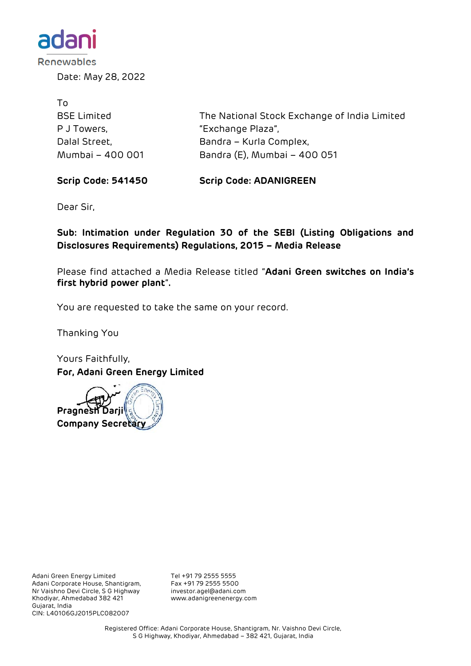

Date: May 28, 2022

| To.                |                                              |
|--------------------|----------------------------------------------|
| <b>BSE Limited</b> | The National Stock Exchange of India Limited |
| P J Towers,        | "Exchange Plaza",                            |
| Dalal Street,      | Bandra – Kurla Complex,                      |
| Mumbai - 400 001   | Bandra (E), Mumbai - 400 051                 |

**Scrip Code: 541450 Scrip Code: ADANIGREEN**

Dear Sir,

**Sub: Intimation under Regulation 30 of the SEBI (Listing Obligations and Disclosures Requirements) Regulations, 2015 – Media Release**

Please find attached a Media Release titled "**Adani Green switches on India's first hybrid power plant**"**.**

You are requested to take the same on your record.

Thanking You

Yours Faithfully, **For, Adani Green Energy Limited**



Adani Green Energy Limited Tel +91 79 2555 5555<br>Adani Corporate House, Shantigram, Fax +91 79 2555 5500 Adani Corporate House, Shantigram, Fax +91 79 2555 5500 Nr Vaishno Devi Circle, S G Highway Khodiyar, Ahmedabad 382 421 www.adanigreenenergy.com Gujarat, India CIN: L40106GJ2015PLC082007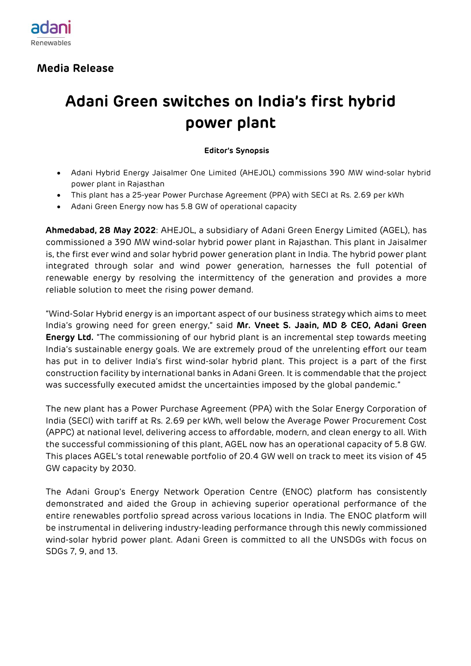

 **Media Release**

## **Adani Green switches on India's first hybrid power plant**

## **Editor's Synopsis**

- Adani Hybrid Energy Jaisalmer One Limited (AHEJOL) commissions 390 MW wind-solar hybrid power plant in Rajasthan
- This plant has a 25-year Power Purchase Agreement (PPA) with SECI at Rs. 2.69 per kWh
- Adani Green Energy now has 5.8 GW of operational capacity

**Ahmedabad, 28 May 2022**: AHEJOL, a subsidiary of Adani Green Energy Limited (AGEL), has commissioned a 390 MW wind-solar hybrid power plant in Rajasthan. This plant in Jaisalmer is, the first ever wind and solar hybrid power generation plant in India. The hybrid power plant integrated through solar and wind power generation, harnesses the full potential of renewable energy by resolving the intermittency of the generation and provides a more reliable solution to meet the rising power demand.

"Wind-Solar Hybrid energy is an important aspect of our business strategy which aims to meet India's growing need for green energy," said **Mr. Vneet S. Jaain, MD & CEO, Adani Green Energy Ltd.** "The commissioning of our hybrid plant is an incremental step towards meeting India's sustainable energy goals. We are extremely proud of the unrelenting effort our team has put in to deliver India's first wind-solar hybrid plant. This project is a part of the first construction facility by international banks in Adani Green. It is commendable that the project was successfully executed amidst the uncertainties imposed by the global pandemic."

The new plant has a Power Purchase Agreement (PPA) with the Solar Energy Corporation of India (SECI) with tariff at Rs. 2.69 per kWh, well below the Average Power Procurement Cost (APPC) at national level, delivering access to affordable, modern, and clean energy to all. With the successful commissioning of this plant, AGEL now has an operational capacity of 5.8 GW. This places AGEL's total renewable portfolio of 20.4 GW well on track to meet its vision of 45 GW capacity by 2030.

The Adani Group's Energy Network Operation Centre (ENOC) platform has consistently demonstrated and aided the Group in achieving superior operational performance of the entire renewables portfolio spread across various locations in India. The ENOC platform will be instrumental in delivering industry-leading performance through this newly commissioned wind-solar hybrid power plant. Adani Green is committed to all the UNSDGs with focus on SDGs 7, 9, and 13.